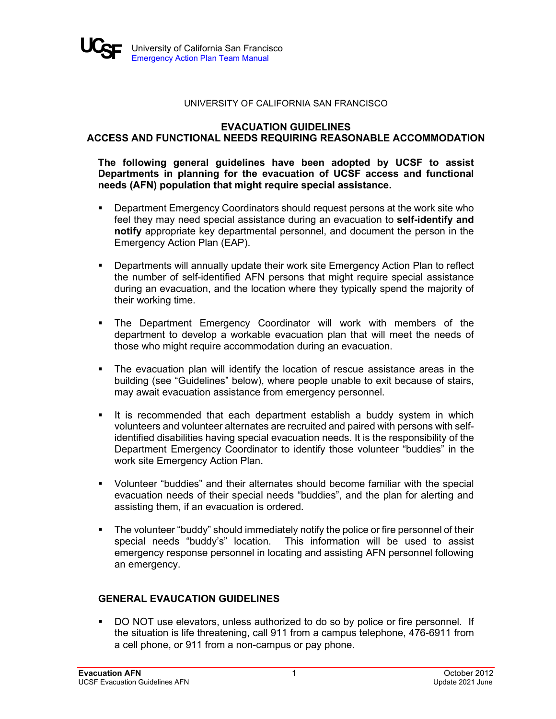#### UNIVERSITY OF CALIFORNIA SAN FRANCISCO

## **EVACUATION GUIDELINES ACCESS AND FUNCTIONAL NEEDS REQUIRING REASONABLE ACCOMMODATION**

## **The following general guidelines have been adopted by UCSF to assist Departments in planning for the evacuation of UCSF access and functional needs (AFN) population that might require special assistance.**

- Department Emergency Coordinators should request persons at the work site who feel they may need special assistance during an evacuation to **self-identify and notify** appropriate key departmental personnel, and document the person in the Emergency Action Plan (EAP).
- Departments will annually update their work site Emergency Action Plan to reflect the number of self-identified AFN persons that might require special assistance during an evacuation, and the location where they typically spend the majority of their working time.
- The Department Emergency Coordinator will work with members of the department to develop a workable evacuation plan that will meet the needs of those who might require accommodation during an evacuation.
- The evacuation plan will identify the location of rescue assistance areas in the building (see "Guidelines" below), where people unable to exit because of stairs, may await evacuation assistance from emergency personnel.
- If is recommended that each department establish a buddy system in which volunteers and volunteer alternates are recruited and paired with persons with selfidentified disabilities having special evacuation needs. It is the responsibility of the Department Emergency Coordinator to identify those volunteer "buddies" in the work site Emergency Action Plan.
- Volunteer "buddies" and their alternates should become familiar with the special evacuation needs of their special needs "buddies", and the plan for alerting and assisting them, if an evacuation is ordered.
- The volunteer "buddy" should immediately notify the police or fire personnel of their special needs "buddy's" location. This information will be used to assist emergency response personnel in locating and assisting AFN personnel following an emergency.

# **GENERAL EVAUCATION GUIDELINES**

 DO NOT use elevators, unless authorized to do so by police or fire personnel. If the situation is life threatening, call 911 from a campus telephone, 476-6911 from a cell phone, or 911 from a non-campus or pay phone.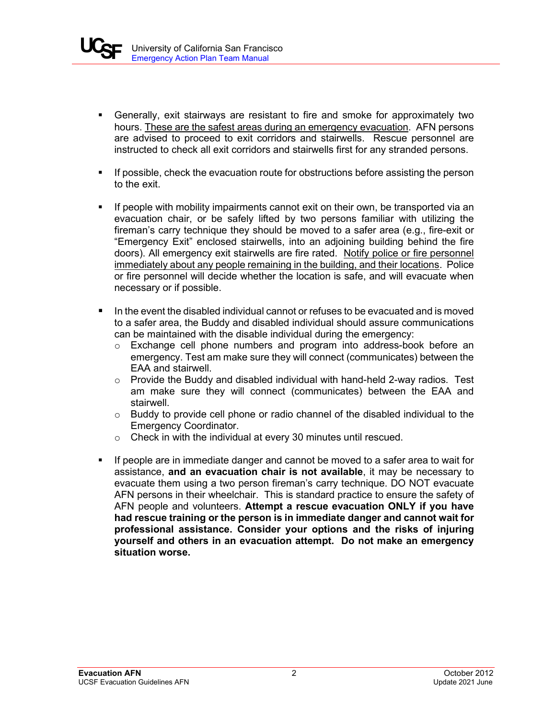

- Generally, exit stairways are resistant to fire and smoke for approximately two hours. These are the safest areas during an emergency evacuation. AFN persons are advised to proceed to exit corridors and stairwells. Rescue personnel are instructed to check all exit corridors and stairwells first for any stranded persons.
- If possible, check the evacuation route for obstructions before assisting the person to the exit.
- **If people with mobility impairments cannot exit on their own, be transported via an** evacuation chair, or be safely lifted by two persons familiar with utilizing the fireman's carry technique they should be moved to a safer area (e.g., fire-exit or "Emergency Exit" enclosed stairwells, into an adjoining building behind the fire doors). All emergency exit stairwells are fire rated. Notify police or fire personnel immediately about any people remaining in the building, and their locations. Police or fire personnel will decide whether the location is safe, and will evacuate when necessary or if possible.
- $\blacksquare$  In the event the disabled individual cannot or refuses to be evacuated and is moved to a safer area, the Buddy and disabled individual should assure communications can be maintained with the disable individual during the emergency:
	- o Exchange cell phone numbers and program into address-book before an emergency. Test am make sure they will connect (communicates) between the EAA and stairwell.
	- $\circ$  Provide the Buddy and disabled individual with hand-held 2-way radios. Test am make sure they will connect (communicates) between the EAA and stairwell.
	- $\circ$  Buddy to provide cell phone or radio channel of the disabled individual to the Emergency Coordinator.
	- o Check in with the individual at every 30 minutes until rescued.
- If people are in immediate danger and cannot be moved to a safer area to wait for assistance, **and an evacuation chair is not available**, it may be necessary to evacuate them using a two person fireman's carry technique. DO NOT evacuate AFN persons in their wheelchair. This is standard practice to ensure the safety of AFN people and volunteers. **Attempt a rescue evacuation ONLY if you have had rescue training or the person is in immediate danger and cannot wait for professional assistance. Consider your options and the risks of injuring yourself and others in an evacuation attempt. Do not make an emergency situation worse.**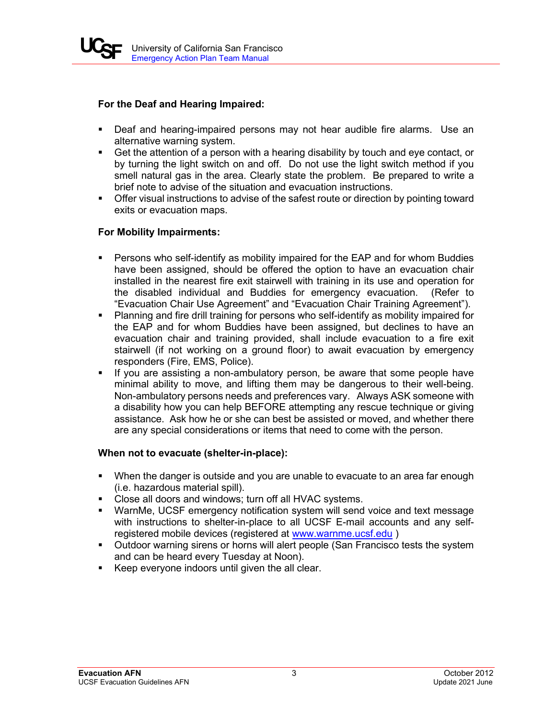

## **For the Deaf and Hearing Impaired:**

- **Deaf and hearing-impaired persons may not hear audible fire alarms. Use an** alternative warning system.
- Get the attention of a person with a hearing disability by touch and eye contact, or by turning the light switch on and off. Do not use the light switch method if you smell natural gas in the area. Clearly state the problem. Be prepared to write a brief note to advise of the situation and evacuation instructions.
- **Offer visual instructions to advise of the safest route or direction by pointing toward** exits or evacuation maps.

## **For Mobility Impairments:**

- Persons who self-identify as mobility impaired for the EAP and for whom Buddies have been assigned, should be offered the option to have an evacuation chair installed in the nearest fire exit stairwell with training in its use and operation for the disabled individual and Buddies for emergency evacuation. (Refer to "Evacuation Chair Use Agreement" and "Evacuation Chair Training Agreement").
- Planning and fire drill training for persons who self-identify as mobility impaired for the EAP and for whom Buddies have been assigned, but declines to have an evacuation chair and training provided, shall include evacuation to a fire exit stairwell (if not working on a ground floor) to await evacuation by emergency responders (Fire, EMS, Police).
- If you are assisting a non-ambulatory person, be aware that some people have minimal ability to move, and lifting them may be dangerous to their well-being. Non-ambulatory persons needs and preferences vary. Always ASK someone with a disability how you can help BEFORE attempting any rescue technique or giving assistance. Ask how he or she can best be assisted or moved, and whether there are any special considerations or items that need to come with the person.

## **When not to evacuate (shelter-in-place):**

- When the danger is outside and you are unable to evacuate to an area far enough (i.e. hazardous material spill).
- Close all doors and windows; turn off all HVAC systems.
- WarnMe, UCSF emergency notification system will send voice and text message with instructions to shelter-in-place to all UCSF E-mail accounts and any selfregistered mobile devices (registered at [www.warnme.ucsf.edu](http://www.warnme.ucsf.edu/))
- **Outdoor warning sirens or horns will alert people (San Francisco tests the system** and can be heard every Tuesday at Noon).
- Keep everyone indoors until given the all clear.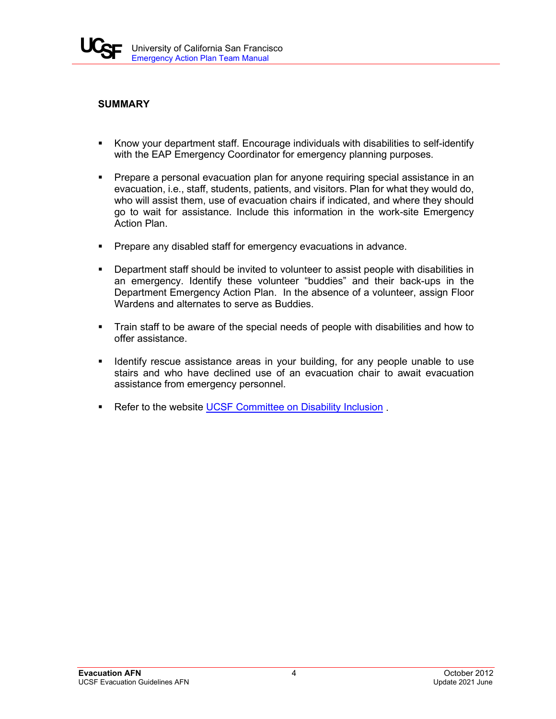

# **SUMMARY**

- Know your department staff. Encourage individuals with disabilities to self-identify with the EAP Emergency Coordinator for emergency planning purposes.
- **Prepare a personal evacuation plan for anyone requiring special assistance in an** evacuation, i.e., staff, students, patients, and visitors. Plan for what they would do, who will assist them, use of evacuation chairs if indicated, and where they should go to wait for assistance. Include this information in the work-site Emergency Action Plan.
- **Prepare any disabled staff for emergency evacuations in advance.**
- **•** Department staff should be invited to volunteer to assist people with disabilities in an emergency. Identify these volunteer "buddies" and their back-ups in the Department Emergency Action Plan. In the absence of a volunteer, assign Floor Wardens and alternates to serve as Buddies.
- Train staff to be aware of the special needs of people with disabilities and how to offer assistance.
- **IDENT** Identify rescue assistance areas in your building, for any people unable to use stairs and who have declined use of an evacuation chair to await evacuation assistance from emergency personnel.
- Refer to the website [UCSF Committee on Disability Inclusion](https://diversity.ucsf.edu/committees/3434711).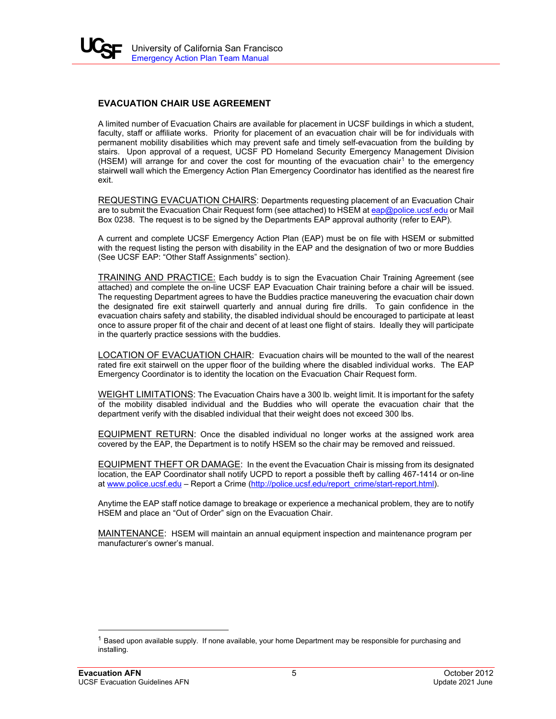

## **EVACUATION CHAIR USE AGREEMENT**

A limited number of Evacuation Chairs are available for placement in UCSF buildings in which a student, faculty, staff or affiliate works. Priority for placement of an evacuation chair will be for individuals with permanent mobility disabilities which may prevent safe and timely self-evacuation from the building by stairs. Upon approval of a request, UCSF PD Homeland Security Emergency Management Division (HSEM) will arrange for and cover the cost for mounting of the evacuation chair<sup>[1](#page-4-0)</sup> to the emergency stairwell wall which the Emergency Action Plan Emergency Coordinator has identified as the nearest fire exit.

REQUESTING EVACUATION CHAIRS: Departments requesting placement of an Evacuation Chair are to submit the Evacuation Chair Request form (see attached) to HSEM a[t eap@police.ucsf.edu](mailto:eap@police.ucsf.edu) or Mail Box 0238. The request is to be signed by the Departments EAP approval authority (refer to EAP).

A current and complete UCSF Emergency Action Plan (EAP) must be on file with HSEM or submitted with the request listing the person with disability in the EAP and the designation of two or more Buddies (See UCSF EAP: "Other Staff Assignments" section).

TRAINING AND PRACTICE: Each buddy is to sign the Evacuation Chair Training Agreement (see attached) and complete the on-line UCSF EAP Evacuation Chair training before a chair will be issued. The requesting Department agrees to have the Buddies practice maneuvering the evacuation chair down the designated fire exit stairwell quarterly and annual during fire drills. To gain confidence in the evacuation chairs safety and stability, the disabled individual should be encouraged to participate at least once to assure proper fit of the chair and decent of at least one flight of stairs. Ideally they will participate in the quarterly practice sessions with the buddies.

LOCATION OF EVACUATION CHAIR: Evacuation chairs will be mounted to the wall of the nearest rated fire exit stairwell on the upper floor of the building where the disabled individual works. The EAP Emergency Coordinator is to identity the location on the Evacuation Chair Request form.

WEIGHT LIMITATIONS: The Evacuation Chairs have a 300 lb. weight limit. It is important for the safety of the mobility disabled individual and the Buddies who will operate the evacuation chair that the department verify with the disabled individual that their weight does not exceed 300 lbs.

EQUIPMENT RETURN: Once the disabled individual no longer works at the assigned work area covered by the EAP, the Department is to notify HSEM so the chair may be removed and reissued.

EQUIPMENT THEFT OR DAMAGE: In the event the Evacuation Chair is missing from its designated location, the EAP Coordinator shall notify UCPD to report a possible theft by calling 467-1414 or on-line at [www.police.ucsf.edu](http://www.police.ucsf.edu/) – Report a Crime [\(http://police.ucsf.edu/report\\_crime/start-report.html\)](http://police.ucsf.edu/report_crime/start-report.html).

Anytime the EAP staff notice damage to breakage or experience a mechanical problem, they are to notify HSEM and place an "Out of Order" sign on the Evacuation Chair.

MAINTENANCE: HSEM will maintain an annual equipment inspection and maintenance program per manufacturer's owner's manual.

<span id="page-4-0"></span> $1$  Based upon available supply. If none available, your home Department may be responsible for purchasing and installing.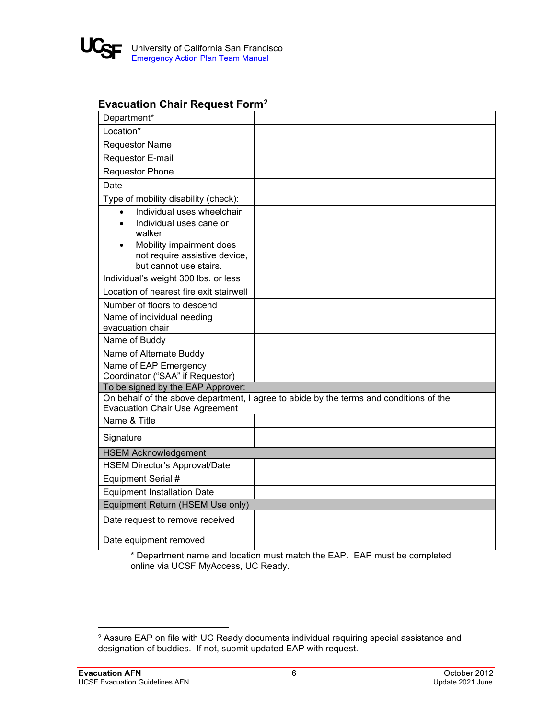

# **Evacuation Chair Request Form[2](#page-5-0)**

| Department*                                                            |                                                                                        |
|------------------------------------------------------------------------|----------------------------------------------------------------------------------------|
| Location*                                                              |                                                                                        |
| <b>Requestor Name</b>                                                  |                                                                                        |
| Requestor E-mail                                                       |                                                                                        |
| <b>Requestor Phone</b>                                                 |                                                                                        |
| Date                                                                   |                                                                                        |
| Type of mobility disability (check):                                   |                                                                                        |
| Individual uses wheelchair<br>$\bullet$                                |                                                                                        |
| Individual uses cane or<br>$\bullet$<br>walker                         |                                                                                        |
| Mobility impairment does<br>$\bullet$<br>not require assistive device, |                                                                                        |
| but cannot use stairs.                                                 |                                                                                        |
| Individual's weight 300 lbs. or less                                   |                                                                                        |
| Location of nearest fire exit stairwell                                |                                                                                        |
| Number of floors to descend                                            |                                                                                        |
| Name of individual needing<br>evacuation chair                         |                                                                                        |
| Name of Buddy                                                          |                                                                                        |
| Name of Alternate Buddy                                                |                                                                                        |
| Name of EAP Emergency                                                  |                                                                                        |
| Coordinator ("SAA" if Requestor)                                       |                                                                                        |
| To be signed by the EAP Approver:                                      | On behalf of the above department, I agree to abide by the terms and conditions of the |
| <b>Evacuation Chair Use Agreement</b>                                  |                                                                                        |
| Name & Title                                                           |                                                                                        |
| Signature                                                              |                                                                                        |
| <b>HSEM Acknowledgement</b>                                            |                                                                                        |
| <b>HSEM Director's Approval/Date</b>                                   |                                                                                        |
| Equipment Serial #                                                     |                                                                                        |
| <b>Equipment Installation Date</b>                                     |                                                                                        |
| Equipment Return (HSEM Use only)                                       |                                                                                        |
| Date request to remove received                                        |                                                                                        |
| Date equipment removed                                                 |                                                                                        |

\* Department name and location must match the EAP. EAP must be completed online via UCSF MyAccess, UC Ready.

<span id="page-5-0"></span><sup>2</sup> Assure EAP on file with UC Ready documents individual requiring special assistance and designation of buddies. If not, submit updated EAP with request.